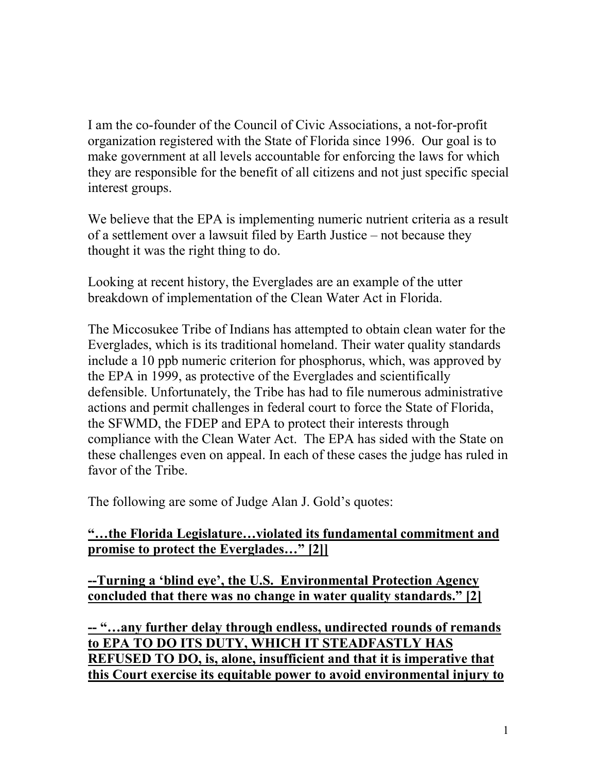I am the co-founder of the Council of Civic Associations, a not-for-profit organization registered with the State of Florida since 1996. Our goal is to make government at all levels accountable for enforcing the laws for which they are responsible for the benefit of all citizens and not just specific special interest groups.

We believe that the EPA is implementing numeric nutrient criteria as a result of a settlement over a lawsuit filed by Earth Justice – not because they thought it was the right thing to do.

Looking at recent history, the Everglades are an example of the utter breakdown of implementation of the Clean Water Act in Florida.

The Miccosukee Tribe of Indians has attempted to obtain clean water for the Everglades, which is its traditional homeland. Their water quality standards include a 10 ppb numeric criterion for phosphorus, which, was approved by the EPA in 1999, as protective of the Everglades and scientifically defensible. Unfortunately, the Tribe has had to file numerous administrative actions and permit challenges in federal court to force the State of Florida, the SFWMD, the FDEP and EPA to protect their interests through compliance with the Clean Water Act. The EPA has sided with the State on these challenges even on appeal. In each of these cases the judge has ruled in favor of the Tribe.

The following are some of Judge Alan J. Gold's quotes:

### **"…the Florida Legislature…violated its fundamental commitment and promise to protect the Everglades…" [2]]**

**--Turning a 'blind eye', the U.S. Environmental Protection Agency concluded that there was no change in water quality standards." [2]**

**-- "…any further delay through endless, undirected rounds of remands to EPA TO DO ITS DUTY, WHICH IT STEADFASTLY HAS REFUSED TO DO, is, alone, insufficient and that it is imperative that this Court exercise its equitable power to avoid environmental injury to**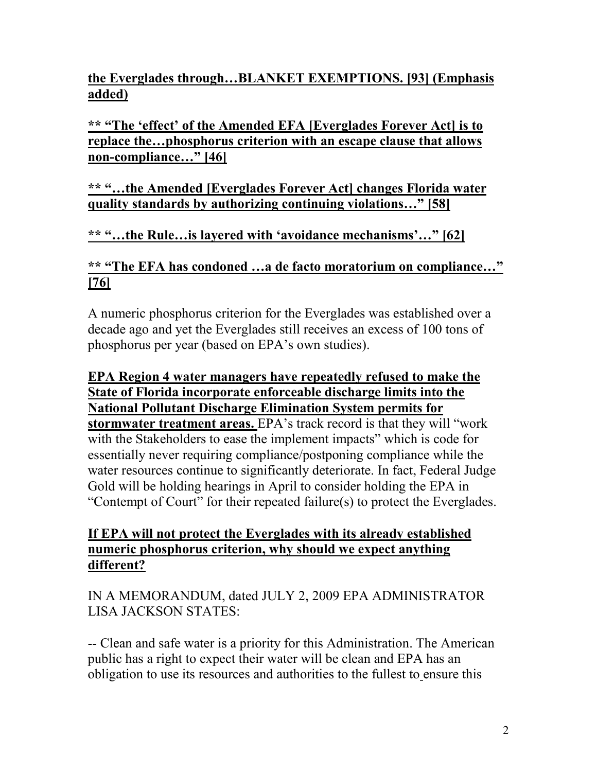# **the Everglades through…BLANKET EXEMPTIONS. [93] (Emphasis added)**

**\*\* "The 'effect' of the Amended EFA [Everglades Forever Act] is to replace the…phosphorus criterion with an escape clause that allows non-compliance…" [46]**

### **\*\* "…the Amended [Everglades Forever Act] changes Florida water quality standards by authorizing continuing violations…" [58]**

**\*\* "…the Rule…is layered with 'avoidance mechanisms'…" [62]**

### **\*\* "The EFA has condoned …a de facto moratorium on compliance…" [76]**

A numeric phosphorus criterion for the Everglades was established over a decade ago and yet the Everglades still receives an excess of 100 tons of phosphorus per year (based on EPA's own studies).

### **EPA Region 4 water managers have repeatedly refused to make the State of Florida incorporate enforceable discharge limits into the National Pollutant Discharge Elimination System permits for stormwater treatment areas.** EPA's track record is that they will "work with the Stakeholders to ease the implement impacts" which is code for essentially never requiring compliance/postponing compliance while the water resources continue to significantly deteriorate. In fact, Federal Judge Gold will be holding hearings in April to consider holding the EPA in "Contempt of Court" for their repeated failure(s) to protect the Everglades.

### **If EPA will not protect the Everglades with its already established numeric phosphorus criterion, why should we expect anything different?**

IN A MEMORANDUM, dated JULY 2, 2009 EPA ADMINISTRATOR LISA JACKSON STATES:

-- Clean and safe water is a priority for this Administration. The American public has a right to expect their water will be clean and EPA has an obligation to use its resources and authorities to the fullest to ensure this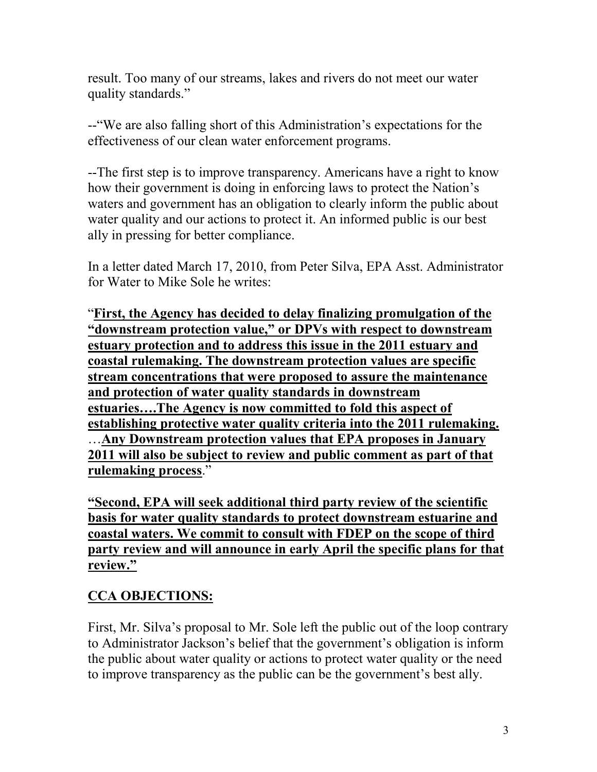result. Too many of our streams, lakes and rivers do not meet our water quality standards."

--"We are also falling short of this Administration's expectations for the effectiveness of our clean water enforcement programs.

--The first step is to improve transparency. Americans have a right to know how their government is doing in enforcing laws to protect the Nation's waters and government has an obligation to clearly inform the public about water quality and our actions to protect it. An informed public is our best ally in pressing for better compliance.

In a letter dated March 17, 2010, from Peter Silva, EPA Asst. Administrator for Water to Mike Sole he writes:

"**First, the Agency has decided to delay finalizing promulgation of the "downstream protection value," or DPVs with respect to downstream estuary protection and to address this issue in the 2011 estuary and coastal rulemaking. The downstream protection values are specific stream concentrations that were proposed to assure the maintenance and protection of water quality standards in downstream estuaries….The Agency is now committed to fold this aspect of establishing protective water quality criteria into the 2011 rulemaking.** …**Any Downstream protection values that EPA proposes in January 2011 will also be subject to review and public comment as part of that rulemaking process**."

**"Second, EPA will seek additional third party review of the scientific basis for water quality standards to protect downstream estuarine and coastal waters. We commit to consult with FDEP on the scope of third party review and will announce in early April the specific plans for that review."**

# **CCA OBJECTIONS:**

First, Mr. Silva's proposal to Mr. Sole left the public out of the loop contrary to Administrator Jackson's belief that the government's obligation is inform the public about water quality or actions to protect water quality or the need to improve transparency as the public can be the government's best ally.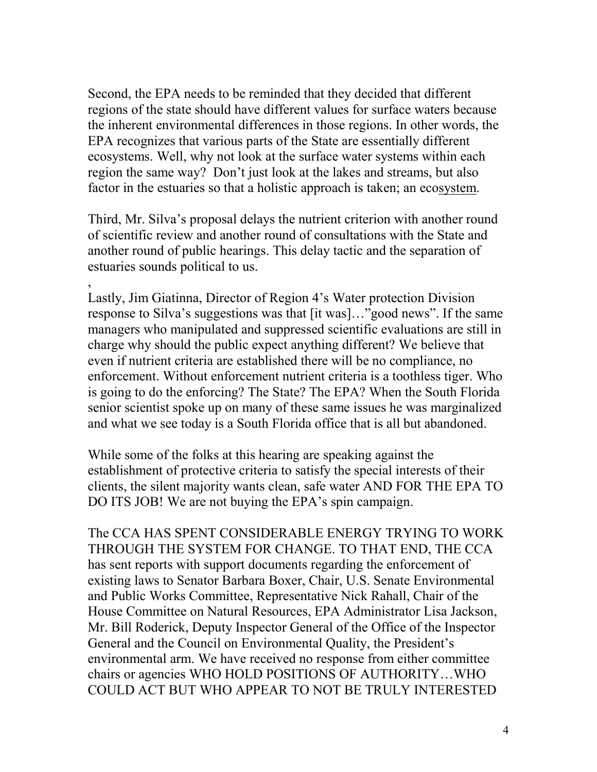Second, the EPA needs to be reminded that they decided that different regions of the state should have different values for surface waters because the inherent environmental differences in those regions. In other words, the EPA recognizes that various parts of the State are essentially different ecosystems. Well, why not look at the surface water systems within each region the same way? Don't just look at the lakes and streams, but also factor in the estuaries so that a holistic approach is taken; an ecosystem.

Third, Mr. Silva's proposal delays the nutrient criterion with another round of scientific review and another round of consultations with the State and another round of public hearings. This delay tactic and the separation of estuaries sounds political to us.

, Lastly, Jim Giatinna, Director of Region 4's Water protection Division response to Silva's suggestions was that [it was]…"good news". If the same managers who manipulated and suppressed scientific evaluations are still in charge why should the public expect anything different? We believe that even if nutrient criteria are established there will be no compliance, no enforcement. Without enforcement nutrient criteria is a toothless tiger. Who is going to do the enforcing? The State? The EPA? When the South Florida senior scientist spoke up on many of these same issues he was marginalized and what we see today is a South Florida office that is all but abandoned.

While some of the folks at this hearing are speaking against the establishment of protective criteria to satisfy the special interests of their clients, the silent majority wants clean, safe water AND FOR THE EPA TO DO ITS JOB! We are not buying the EPA's spin campaign.

The CCA HAS SPENT CONSIDERABLE ENERGY TRYING TO WORK THROUGH THE SYSTEM FOR CHANGE. TO THAT END, THE CCA has sent reports with support documents regarding the enforcement of existing laws to Senator Barbara Boxer, Chair, U.S. Senate Environmental and Public Works Committee, Representative Nick Rahall, Chair of the House Committee on Natural Resources, EPA Administrator Lisa Jackson, Mr. Bill Roderick, Deputy Inspector General of the Office of the Inspector General and the Council on Environmental Quality, the President's environmental arm. We have received no response from either committee chairs or agencies WHO HOLD POSITIONS OF AUTHORITY…WHO COULD ACT BUT WHO APPEAR TO NOT BE TRULY INTERESTED